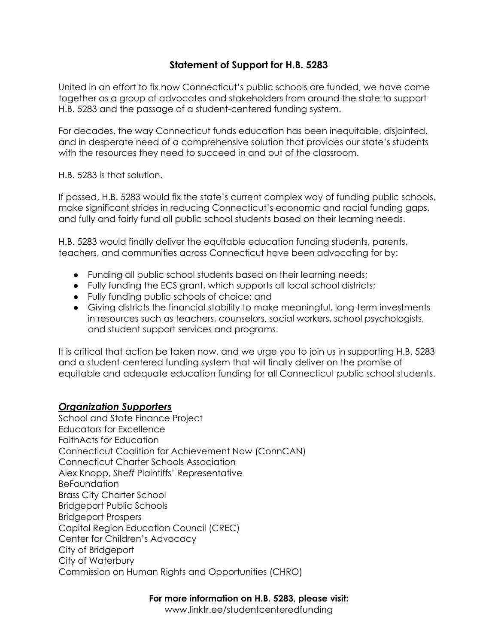## **Statement of Support for H.B. 5283**

United in an effort to fix how Connecticut's public schools are funded, we have come together as a group of advocates and stakeholders from around the state to support H.B. 5283 and the passage of a student-centered funding system.

For decades, the way Connecticut funds education has been inequitable, disjointed, and in desperate need of a comprehensive solution that provides our state's students with the resources they need to succeed in and out of the classroom.

H.B. 5283 is that solution.

If passed, H.B. 5283 would fix the state's current complex way of funding public schools, make significant strides in reducing Connecticut's economic and racial funding gaps, and fully and fairly fund all public school students based on their learning needs.

H.B. 5283 would finally deliver the equitable education funding students, parents, teachers, and communities across Connecticut have been advocating for by:

- Funding all public school students based on their learning needs;
- Fully funding the ECS grant, which supports all local school districts;
- Fully funding public schools of choice; and
- Giving districts the financial stability to make meaningful, long-term investments in resources such as teachers, counselors, social workers, school psychologists, and student support services and programs.

It is critical that action be taken now, and we urge you to join us in supporting H.B. 5283 and a student-centered funding system that will finally deliver on the promise of equitable and adequate education funding for all Connecticut public school students.

## *Organization Supporters*

School and State Finance Project Educators for Excellence FaithActs for Education Connecticut Coalition for Achievement Now (ConnCAN) Connecticut Charter Schools Association Alex Knopp, *Sheff* Plaintiffs' Representative **BeFoundation** Brass City Charter School Bridgeport Public Schools Bridgeport Prospers Capitol Region Education Council (CREC) Center for Children's Advocacy City of Bridgeport City of Waterbury Commission on Human Rights and Opportunities (CHRO)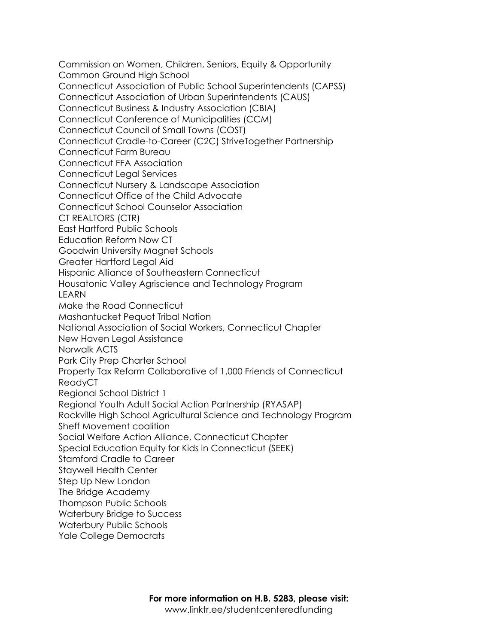Commission on Women, Children, Seniors, Equity & Opportunity Common Ground High School Connecticut Association of Public School Superintendents (CAPSS) Connecticut Association of Urban Superintendents (CAUS) Connecticut Business & Industry Association (CBIA) Connecticut Conference of Municipalities (CCM) Connecticut Council of Small Towns (COST) Connecticut Cradle-to-Career (C2C) StriveTogether Partnership Connecticut Farm Bureau Connecticut FFA Association Connecticut Legal Services Connecticut Nursery & Landscape Association Connecticut Office of the Child Advocate Connecticut School Counselor Association CT REALTORS (CTR) East Hartford Public Schools Education Reform Now CT Goodwin University Magnet Schools Greater Hartford Legal Aid Hispanic Alliance of Southeastern Connecticut Housatonic Valley Agriscience and Technology Program LEARN Make the Road Connecticut Mashantucket Pequot Tribal Nation National Association of Social Workers, Connecticut Chapter New Haven Legal Assistance Norwalk ACTS Park City Prep Charter School Property Tax Reform Collaborative of 1,000 Friends of Connecticut ReadyCT Regional School District 1 Regional Youth Adult Social Action Partnership (RYASAP) Rockville High School Agricultural Science and Technology Program Sheff Movement coalition Social Welfare Action Alliance, Connecticut Chapter Special Education Equity for Kids in Connecticut (SEEK) Stamford Cradle to Career Staywell Health Center Step Up New London The Bridge Academy Thompson Public Schools Waterbury Bridge to Success Waterbury Public Schools Yale College Democrats